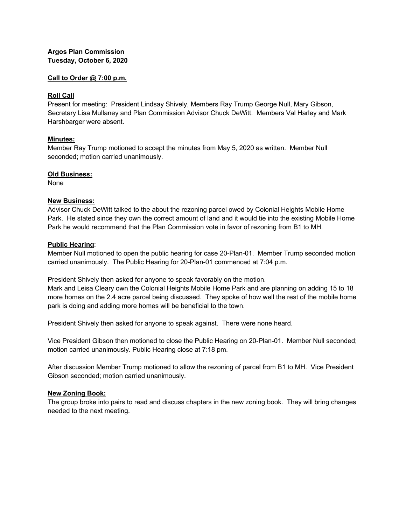# **Argos Plan Commission Tuesday, October 6, 2020**

## **Call to Order @ 7:00 p.m.**

## **Roll Call**

Present for meeting: President Lindsay Shively, Members Ray Trump George Null, Mary Gibson, Secretary Lisa Mullaney and Plan Commission Advisor Chuck DeWitt. Members Val Harley and Mark Harshbarger were absent.

## **Minutes:**

Member Ray Trump motioned to accept the minutes from May 5, 2020 as written. Member Null seconded; motion carried unanimously.

#### **Old Business:**

None

## **New Business:**

Advisor Chuck DeWitt talked to the about the rezoning parcel owed by Colonial Heights Mobile Home Park. He stated since they own the correct amount of land and it would tie into the existing Mobile Home Park he would recommend that the Plan Commission vote in favor of rezoning from B1 to MH.

## **Public Hearing**:

Member Null motioned to open the public hearing for case 20-Plan-01. Member Trump seconded motion carried unanimously. The Public Hearing for 20-Plan-01 commenced at 7:04 p.m.

President Shively then asked for anyone to speak favorably on the motion.

Mark and Leisa Cleary own the Colonial Heights Mobile Home Park and are planning on adding 15 to 18 more homes on the 2.4 acre parcel being discussed. They spoke of how well the rest of the mobile home park is doing and adding more homes will be beneficial to the town.

President Shively then asked for anyone to speak against. There were none heard.

Vice President Gibson then motioned to close the Public Hearing on 20-Plan-01. Member Null seconded; motion carried unanimously. Public Hearing close at 7:18 pm.

After discussion Member Trump motioned to allow the rezoning of parcel from B1 to MH. Vice President Gibson seconded; motion carried unanimously.

## **New Zoning Book:**

The group broke into pairs to read and discuss chapters in the new zoning book. They will bring changes needed to the next meeting.